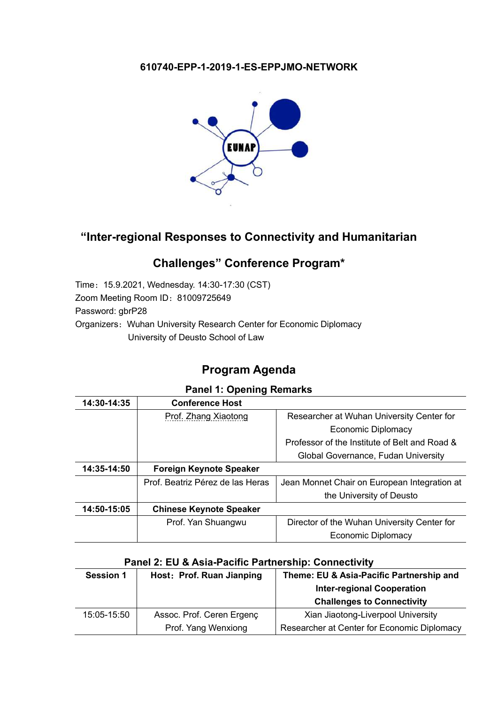#### **610740-EPP-1-2019-1-ES-EPPJMO-NETWORK**



## **"Inter-regional Responses to Connectivity and Humanitarian**

# **Challenges" Conference Program\***

Time:15.9.2021, Wednesday. 14:30-17:30 (CST) Zoom Meeting Room ID:81009725649 Password: gbrP28 Organizers: Wuhan University Research Center for Economic Diplomacy University of Deusto School of Law

# **Program Agenda**

#### **Panel 1: Opening Remarks**

| 14:30-14:35 | <b>Conference Host</b>           |                                               |
|-------------|----------------------------------|-----------------------------------------------|
|             | Prof. Zhang Xiaotong             | Researcher at Wuhan University Center for     |
|             |                                  | Economic Diplomacy                            |
|             |                                  | Professor of the Institute of Belt and Road & |
|             |                                  | Global Governance, Fudan University           |
| 14:35-14:50 | Foreign Keynote Speaker          |                                               |
|             | Prof. Beatriz Pérez de las Heras | Jean Monnet Chair on European Integration at  |
|             |                                  | the University of Deusto                      |
| 14:50-15:05 | <b>Chinese Keynote Speaker</b>   |                                               |
|             | Prof. Yan Shuangwu               | Director of the Wuhan University Center for   |
|             |                                  | <b>Economic Diplomacy</b>                     |

#### **Panel 2: EU & Asia-Pacific Partnership: Connectivity**

| <b>Session 1</b> | Host: Prof. Ruan Jianping | Theme: EU & Asia-Pacific Partnership and    |
|------------------|---------------------------|---------------------------------------------|
|                  |                           | <b>Inter-regional Cooperation</b>           |
|                  |                           | <b>Challenges to Connectivity</b>           |
| 15:05-15:50      | Assoc. Prof. Ceren Ergenç | Xian Jiaotong-Liverpool University          |
|                  | Prof. Yang Wenxiong       | Researcher at Center for Economic Diplomacy |